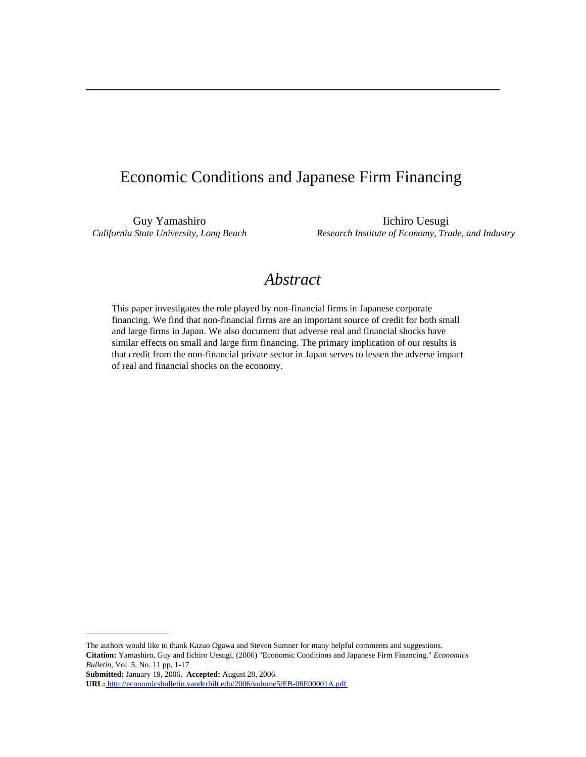# Economic Conditions and Japanese Firm Financing

Guy Yamashiro Iichiro Uesugi *California State University, Long Beach Research Institute of Economy, Trade, and Industry*

# *Abstract*

This paper investigates the role played by non-financial firms in Japanese corporate financing. We find that non-financial firms are an important source of credit for both small and large firms in Japan. We also document that adverse real and financial shocks have similar effects on small and large firm financing. The primary implication of our results is that credit from the non-financial private sector in Japan serves to lessen the adverse impact of real and financial shocks on the economy.

The authors would like to thank Kazuo Ogawa and Steven Sumner for many helpful comments and suggestions. **Citation:** Yamashiro, Guy and Iichiro Uesugi, (2006) "Economic Conditions and Japanese Firm Financing." *Economics Bulletin,* Vol. 5, No. 11 pp. 1-17

**Submitted:** January 19, 2006. **Accepted:** August 28, 2006.

**URL:**<http://economicsbulletin.vanderbilt.edu/2006/volume5/EB-06E00001A.pdf>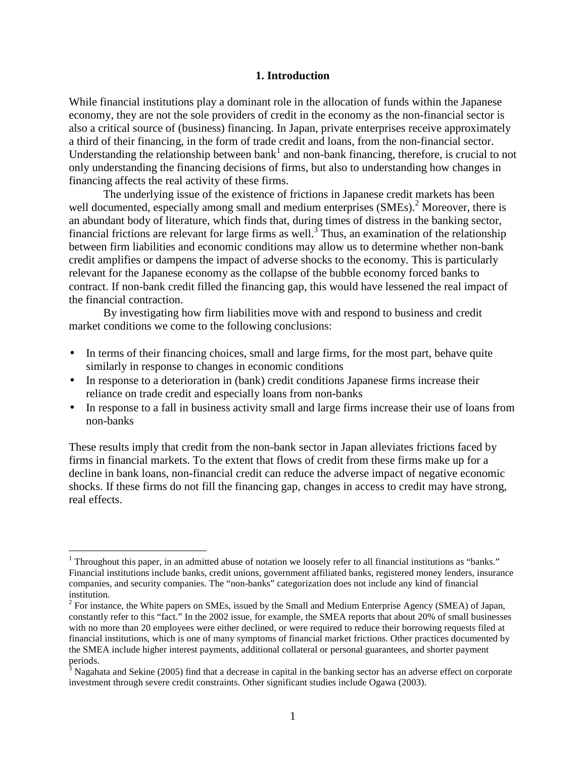#### **1. Introduction**

While financial institutions play a dominant role in the allocation of funds within the Japanese economy, they are not the sole providers of credit in the economy as the non-financial sector is also a critical source of (business) financing. In Japan, private enterprises receive approximately a third of their financing, in the form of trade credit and loans, from the non-financial sector. Understanding the relationship between bank<sup>1</sup> and non-bank financing, therefore, is crucial to not only understanding the financing decisions of firms, but also to understanding how changes in financing affects the real activity of these firms.

 The underlying issue of the existence of frictions in Japanese credit markets has been well documented, especially among small and medium enterprises (SMEs).<sup>2</sup> Moreover, there is an abundant body of literature, which finds that, during times of distress in the banking sector, financial frictions are relevant for large firms as well.<sup>3</sup> Thus, an examination of the relationship between firm liabilities and economic conditions may allow us to determine whether non-bank credit amplifies or dampens the impact of adverse shocks to the economy. This is particularly relevant for the Japanese economy as the collapse of the bubble economy forced banks to contract. If non-bank credit filled the financing gap, this would have lessened the real impact of the financial contraction.

 By investigating how firm liabilities move with and respond to business and credit market conditions we come to the following conclusions:

- In terms of their financing choices, small and large firms, for the most part, behave quite similarly in response to changes in economic conditions
- In response to a deterioration in (bank) credit conditions Japanese firms increase their reliance on trade credit and especially loans from non-banks
- In response to a fall in business activity small and large firms increase their use of loans from non-banks

These results imply that credit from the non-bank sector in Japan alleviates frictions faced by firms in financial markets. To the extent that flows of credit from these firms make up for a decline in bank loans, non-financial credit can reduce the adverse impact of negative economic shocks. If these firms do not fill the financing gap, changes in access to credit may have strong, real effects.

-

<sup>&</sup>lt;sup>1</sup> Throughout this paper, in an admitted abuse of notation we loosely refer to all financial institutions as "banks." Financial institutions include banks, credit unions, government affiliated banks, registered money lenders, insurance companies, and security companies. The "non-banks" categorization does not include any kind of financial institution.

 $2^2$  For instance, the White papers on SMEs, issued by the Small and Medium Enterprise Agency (SMEA) of Japan, constantly refer to this "fact." In the 2002 issue, for example, the SMEA reports that about 20% of small businesses with no more than 20 employees were either declined, or were required to reduce their borrowing requests filed at financial institutions, which is one of many symptoms of financial market frictions. Other practices documented by the SMEA include higher interest payments, additional collateral or personal guarantees, and shorter payment periods.<br><sup>3</sup> Nagahata and Sekine (2005) find that a decrease in capital in the banking sector has an adverse effect on corporate

investment through severe credit constraints. Other significant studies include Ogawa (2003).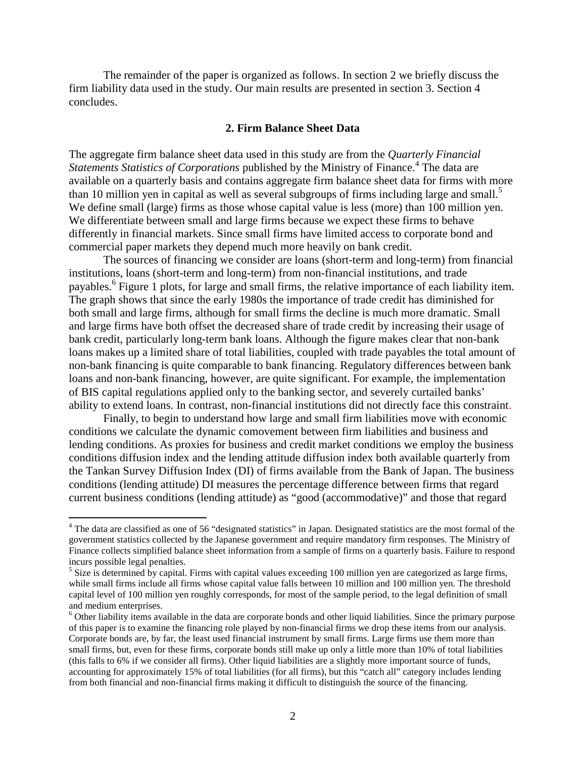The remainder of the paper is organized as follows. In section 2 we briefly discuss the firm liability data used in the study. Our main results are presented in section 3. Section 4 concludes.

# **2. Firm Balance Sheet Data**

The aggregate firm balance sheet data used in this study are from the *Quarterly Financial*  Statements Statistics of Corporations published by the Ministry of Finance.<sup>4</sup> The data are available on a quarterly basis and contains aggregate firm balance sheet data for firms with more than 10 million yen in capital as well as several subgroups of firms including large and small.<sup>5</sup> We define small (large) firms as those whose capital value is less (more) than 100 million yen. We differentiate between small and large firms because we expect these firms to behave differently in financial markets. Since small firms have limited access to corporate bond and commercial paper markets they depend much more heavily on bank credit.

The sources of financing we consider are loans (short-term and long-term) from financial institutions, loans (short-term and long-term) from non-financial institutions, and trade payables.<sup>6</sup> Figure 1 plots, for large and small firms, the relative importance of each liability item. The graph shows that since the early 1980s the importance of trade credit has diminished for both small and large firms, although for small firms the decline is much more dramatic. Small and large firms have both offset the decreased share of trade credit by increasing their usage of bank credit, particularly long-term bank loans. Although the figure makes clear that non-bank loans makes up a limited share of total liabilities, coupled with trade payables the total amount of non-bank financing is quite comparable to bank financing. Regulatory differences between bank loans and non-bank financing, however, are quite significant. For example, the implementation of BIS capital regulations applied only to the banking sector, and severely curtailed banks' ability to extend loans. In contrast, non-financial institutions did not directly face this constraint.

Finally, to begin to understand how large and small firm liabilities move with economic conditions we calculate the dynamic comovement between firm liabilities and business and lending conditions. As proxies for business and credit market conditions we employ the business conditions diffusion index and the lending attitude diffusion index both available quarterly from the Tankan Survey Diffusion Index (DI) of firms available from the Bank of Japan. The business conditions (lending attitude) DI measures the percentage difference between firms that regard current business conditions (lending attitude) as "good (accommodative)" and those that regard

 $\overline{a}$ 

<sup>&</sup>lt;sup>4</sup> The data are classified as one of 56 "designated statistics" in Japan. Designated statistics are the most formal of the government statistics collected by the Japanese government and require mandatory firm responses. The Ministry of Finance collects simplified balance sheet information from a sample of firms on a quarterly basis. Failure to respond incurs possible legal penalties.

 $<sup>5</sup>$  Size is determined by capital. Firms with capital values exceeding 100 million yen are categorized as large firms,</sup> while small firms include all firms whose capital value falls between 10 million and 100 million yen. The threshold capital level of 100 million yen roughly corresponds, for most of the sample period, to the legal definition of small and medium enterprises.

<sup>&</sup>lt;sup>6</sup> Other liability items available in the data are corporate bonds and other liquid liabilities. Since the primary purpose of this paper is to examine the financing role played by non-financial firms we drop these items from our analysis. Corporate bonds are, by far, the least used financial instrument by small firms. Large firms use them more than small firms, but, even for these firms, corporate bonds still make up only a little more than 10% of total liabilities (this falls to 6% if we consider all firms). Other liquid liabilities are a slightly more important source of funds, accounting for approximately 15% of total liabilities (for all firms), but this "catch all" category includes lending from both financial and non-financial firms making it difficult to distinguish the source of the financing.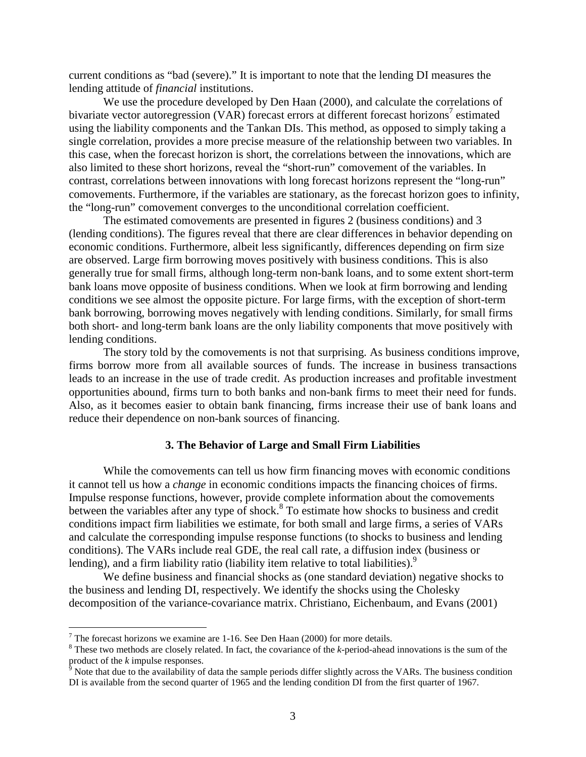current conditions as "bad (severe)." It is important to note that the lending DI measures the lending attitude of *financial* institutions.

We use the procedure developed by Den Haan (2000), and calculate the correlations of bivariate vector autoregression (VAR) forecast errors at different forecast horizons<sup>7</sup> estimated using the liability components and the Tankan DIs. This method, as opposed to simply taking a single correlation, provides a more precise measure of the relationship between two variables. In this case, when the forecast horizon is short, the correlations between the innovations, which are also limited to these short horizons, reveal the "short-run" comovement of the variables. In contrast, correlations between innovations with long forecast horizons represent the "long-run" comovements. Furthermore, if the variables are stationary, as the forecast horizon goes to infinity, the "long-run" comovement converges to the unconditional correlation coefficient.

The estimated comovements are presented in figures 2 (business conditions) and 3 (lending conditions). The figures reveal that there are clear differences in behavior depending on economic conditions. Furthermore, albeit less significantly, differences depending on firm size are observed. Large firm borrowing moves positively with business conditions. This is also generally true for small firms, although long-term non-bank loans, and to some extent short-term bank loans move opposite of business conditions. When we look at firm borrowing and lending conditions we see almost the opposite picture. For large firms, with the exception of short-term bank borrowing, borrowing moves negatively with lending conditions. Similarly, for small firms both short- and long-term bank loans are the only liability components that move positively with lending conditions.

The story told by the comovements is not that surprising. As business conditions improve, firms borrow more from all available sources of funds. The increase in business transactions leads to an increase in the use of trade credit. As production increases and profitable investment opportunities abound, firms turn to both banks and non-bank firms to meet their need for funds. Also, as it becomes easier to obtain bank financing, firms increase their use of bank loans and reduce their dependence on non-bank sources of financing.

#### **3. The Behavior of Large and Small Firm Liabilities**

While the comovements can tell us how firm financing moves with economic conditions it cannot tell us how a *change* in economic conditions impacts the financing choices of firms. Impulse response functions, however, provide complete information about the comovements between the variables after any type of shock.<sup>8</sup> To estimate how shocks to business and credit conditions impact firm liabilities we estimate, for both small and large firms, a series of VARs and calculate the corresponding impulse response functions (to shocks to business and lending conditions). The VARs include real GDE, the real call rate, a diffusion index (business or lending), and a firm liability ratio (liability item relative to total liabilities).<sup>9</sup>

We define business and financial shocks as (one standard deviation) negative shocks to the business and lending DI, respectively. We identify the shocks using the Cholesky decomposition of the variance-covariance matrix. Christiano, Eichenbaum, and Evans (2001)

<u>.</u>

<sup>&</sup>lt;sup>7</sup> The forecast horizons we examine are 1-16. See Den Haan (2000) for more details.

<sup>&</sup>lt;sup>8</sup> These two methods are closely related. In fact, the covariance of the *k*-period-ahead innovations is the sum of the product of the *k* impulse responses.<br><sup>9</sup> Note that due to the availability of data the sample periods differ slightly across the VARs. The business condition

DI is available from the second quarter of 1965 and the lending condition DI from the first quarter of 1967.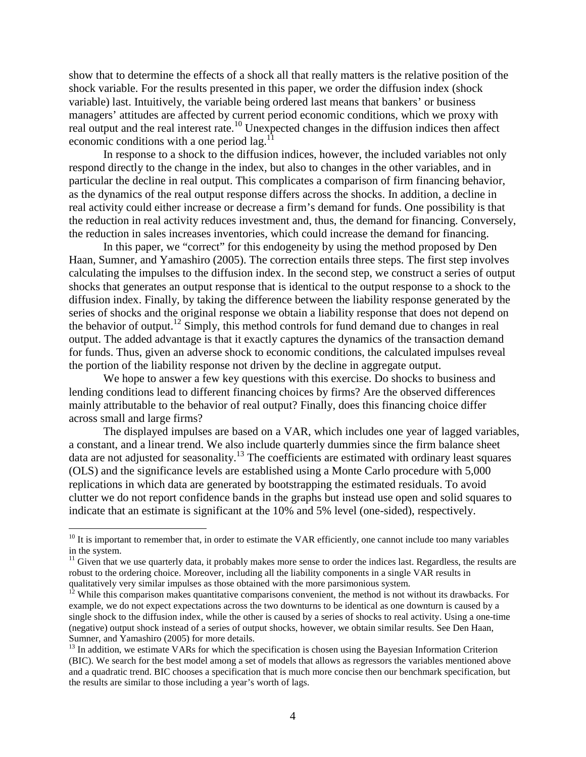show that to determine the effects of a shock all that really matters is the relative position of the shock variable. For the results presented in this paper, we order the diffusion index (shock variable) last. Intuitively, the variable being ordered last means that bankers' or business managers' attitudes are affected by current period economic conditions, which we proxy with real output and the real interest rate.<sup>10</sup> Unexpected changes in the diffusion indices then affect economic conditions with a one period  $\log$ <sup>11</sup>

In response to a shock to the diffusion indices, however, the included variables not only respond directly to the change in the index, but also to changes in the other variables, and in particular the decline in real output. This complicates a comparison of firm financing behavior, as the dynamics of the real output response differs across the shocks. In addition, a decline in real activity could either increase or decrease a firm's demand for funds. One possibility is that the reduction in real activity reduces investment and, thus, the demand for financing. Conversely, the reduction in sales increases inventories, which could increase the demand for financing.

In this paper, we "correct" for this endogeneity by using the method proposed by Den Haan, Sumner, and Yamashiro (2005). The correction entails three steps. The first step involves calculating the impulses to the diffusion index. In the second step, we construct a series of output shocks that generates an output response that is identical to the output response to a shock to the diffusion index. Finally, by taking the difference between the liability response generated by the series of shocks and the original response we obtain a liability response that does not depend on the behavior of output.<sup>12</sup> Simply, this method controls for fund demand due to changes in real output. The added advantage is that it exactly captures the dynamics of the transaction demand for funds. Thus, given an adverse shock to economic conditions, the calculated impulses reveal the portion of the liability response not driven by the decline in aggregate output.

We hope to answer a few key questions with this exercise. Do shocks to business and lending conditions lead to different financing choices by firms? Are the observed differences mainly attributable to the behavior of real output? Finally, does this financing choice differ across small and large firms?

The displayed impulses are based on a VAR, which includes one year of lagged variables, a constant, and a linear trend. We also include quarterly dummies since the firm balance sheet data are not adjusted for seasonality.<sup>13</sup> The coefficients are estimated with ordinary least squares (OLS) and the significance levels are established using a Monte Carlo procedure with 5,000 replications in which data are generated by bootstrapping the estimated residuals. To avoid clutter we do not report confidence bands in the graphs but instead use open and solid squares to indicate that an estimate is significant at the 10% and 5% level (one-sided), respectively.

<u>.</u>

 $10$  It is important to remember that, in order to estimate the VAR efficiently, one cannot include too many variables in the system.

 $11$  Given that we use quarterly data, it probably makes more sense to order the indices last. Regardless, the results are robust to the ordering choice. Moreover, including all the liability components in a single VAR results in qualitatively very similar impulses as those obtained with the more parsimonious system.

 $12$  While this comparison makes quantitative comparisons convenient, the method is not without its drawbacks. For example, we do not expect expectations across the two downturns to be identical as one downturn is caused by a single shock to the diffusion index, while the other is caused by a series of shocks to real activity. Using a one-time (negative) output shock instead of a series of output shocks, however, we obtain similar results. See Den Haan, Sumner, and Yamashiro (2005) for more details.

<sup>&</sup>lt;sup>13</sup> In addition, we estimate VARs for which the specification is chosen using the Bayesian Information Criterion (BIC). We search for the best model among a set of models that allows as regressors the variables mentioned above and a quadratic trend. BIC chooses a specification that is much more concise then our benchmark specification, but the results are similar to those including a year's worth of lags.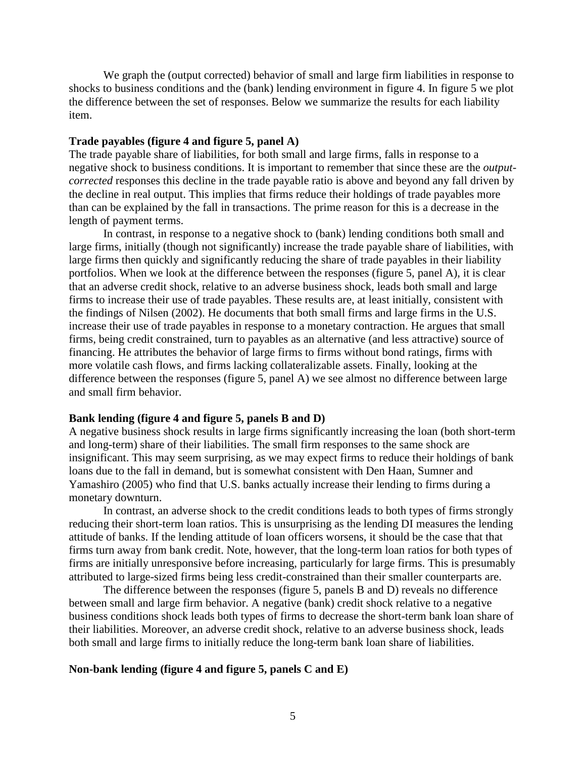We graph the (output corrected) behavior of small and large firm liabilities in response to shocks to business conditions and the (bank) lending environment in figure 4. In figure 5 we plot the difference between the set of responses. Below we summarize the results for each liability item.

# **Trade payables (figure 4 and figure 5, panel A)**

The trade payable share of liabilities, for both small and large firms, falls in response to a negative shock to business conditions. It is important to remember that since these are the *outputcorrected* responses this decline in the trade payable ratio is above and beyond any fall driven by the decline in real output. This implies that firms reduce their holdings of trade payables more than can be explained by the fall in transactions. The prime reason for this is a decrease in the length of payment terms.

In contrast, in response to a negative shock to (bank) lending conditions both small and large firms, initially (though not significantly) increase the trade payable share of liabilities, with large firms then quickly and significantly reducing the share of trade payables in their liability portfolios. When we look at the difference between the responses (figure 5, panel A), it is clear that an adverse credit shock, relative to an adverse business shock, leads both small and large firms to increase their use of trade payables. These results are, at least initially, consistent with the findings of Nilsen (2002). He documents that both small firms and large firms in the U.S. increase their use of trade payables in response to a monetary contraction. He argues that small firms, being credit constrained, turn to payables as an alternative (and less attractive) source of financing. He attributes the behavior of large firms to firms without bond ratings, firms with more volatile cash flows, and firms lacking collateralizable assets. Finally, looking at the difference between the responses (figure 5, panel A) we see almost no difference between large and small firm behavior.

#### **Bank lending (figure 4 and figure 5, panels B and D)**

A negative business shock results in large firms significantly increasing the loan (both short-term and long-term) share of their liabilities. The small firm responses to the same shock are insignificant. This may seem surprising, as we may expect firms to reduce their holdings of bank loans due to the fall in demand, but is somewhat consistent with Den Haan, Sumner and Yamashiro (2005) who find that U.S. banks actually increase their lending to firms during a monetary downturn.

In contrast, an adverse shock to the credit conditions leads to both types of firms strongly reducing their short-term loan ratios. This is unsurprising as the lending DI measures the lending attitude of banks. If the lending attitude of loan officers worsens, it should be the case that that firms turn away from bank credit. Note, however, that the long-term loan ratios for both types of firms are initially unresponsive before increasing, particularly for large firms. This is presumably attributed to large-sized firms being less credit-constrained than their smaller counterparts are.

The difference between the responses (figure 5, panels B and D) reveals no difference between small and large firm behavior. A negative (bank) credit shock relative to a negative business conditions shock leads both types of firms to decrease the short-term bank loan share of their liabilities. Moreover, an adverse credit shock, relative to an adverse business shock, leads both small and large firms to initially reduce the long-term bank loan share of liabilities.

# **Non-bank lending (figure 4 and figure 5, panels C and E)**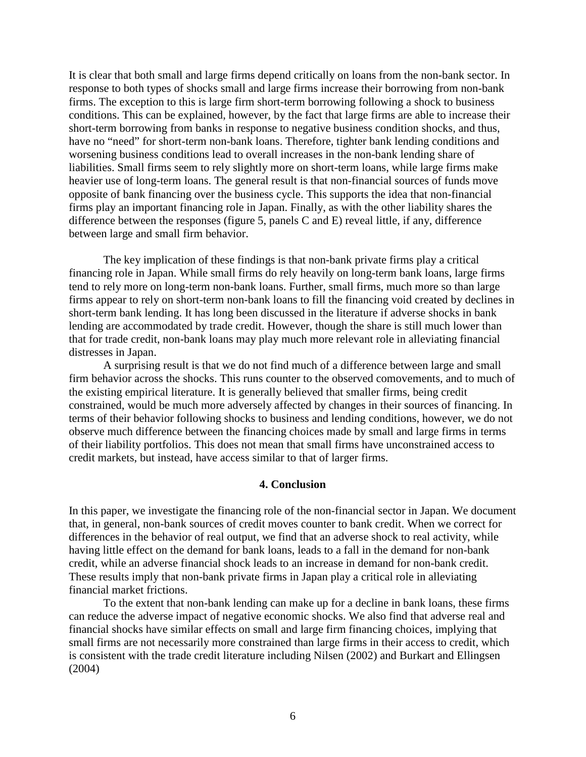It is clear that both small and large firms depend critically on loans from the non-bank sector. In response to both types of shocks small and large firms increase their borrowing from non-bank firms. The exception to this is large firm short-term borrowing following a shock to business conditions. This can be explained, however, by the fact that large firms are able to increase their short-term borrowing from banks in response to negative business condition shocks, and thus, have no "need" for short-term non-bank loans. Therefore, tighter bank lending conditions and worsening business conditions lead to overall increases in the non-bank lending share of liabilities. Small firms seem to rely slightly more on short-term loans, while large firms make heavier use of long-term loans. The general result is that non-financial sources of funds move opposite of bank financing over the business cycle. This supports the idea that non-financial firms play an important financing role in Japan. Finally, as with the other liability shares the difference between the responses (figure 5, panels C and E) reveal little, if any, difference between large and small firm behavior.

The key implication of these findings is that non-bank private firms play a critical financing role in Japan. While small firms do rely heavily on long-term bank loans, large firms tend to rely more on long-term non-bank loans. Further, small firms, much more so than large firms appear to rely on short-term non-bank loans to fill the financing void created by declines in short-term bank lending. It has long been discussed in the literature if adverse shocks in bank lending are accommodated by trade credit. However, though the share is still much lower than that for trade credit, non-bank loans may play much more relevant role in alleviating financial distresses in Japan.

A surprising result is that we do not find much of a difference between large and small firm behavior across the shocks. This runs counter to the observed comovements, and to much of the existing empirical literature. It is generally believed that smaller firms, being credit constrained, would be much more adversely affected by changes in their sources of financing. In terms of their behavior following shocks to business and lending conditions, however, we do not observe much difference between the financing choices made by small and large firms in terms of their liability portfolios. This does not mean that small firms have unconstrained access to credit markets, but instead, have access similar to that of larger firms.

# **4. Conclusion**

In this paper, we investigate the financing role of the non-financial sector in Japan. We document that, in general, non-bank sources of credit moves counter to bank credit. When we correct for differences in the behavior of real output, we find that an adverse shock to real activity, while having little effect on the demand for bank loans, leads to a fall in the demand for non-bank credit, while an adverse financial shock leads to an increase in demand for non-bank credit. These results imply that non-bank private firms in Japan play a critical role in alleviating financial market frictions.

To the extent that non-bank lending can make up for a decline in bank loans, these firms can reduce the adverse impact of negative economic shocks. We also find that adverse real and financial shocks have similar effects on small and large firm financing choices, implying that small firms are not necessarily more constrained than large firms in their access to credit, which is consistent with the trade credit literature including Nilsen (2002) and Burkart and Ellingsen (2004)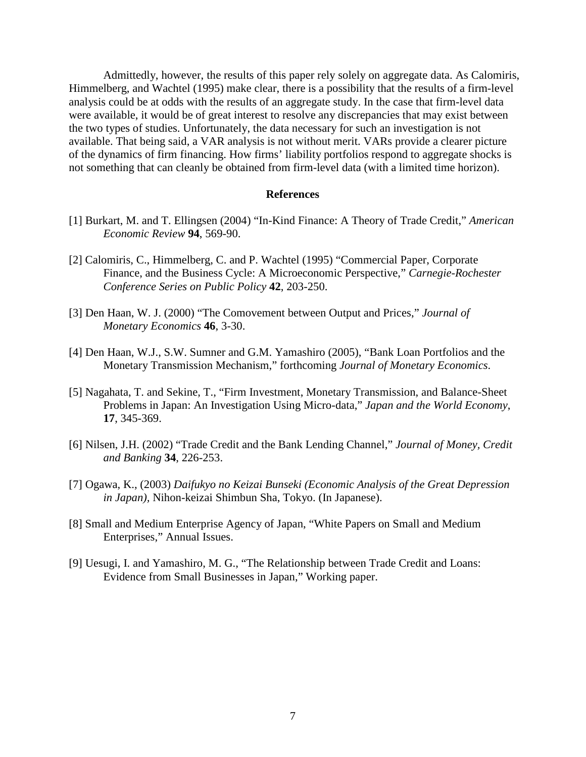Admittedly, however, the results of this paper rely solely on aggregate data. As Calomiris, Himmelberg, and Wachtel (1995) make clear, there is a possibility that the results of a firm-level analysis could be at odds with the results of an aggregate study. In the case that firm-level data were available, it would be of great interest to resolve any discrepancies that may exist between the two types of studies. Unfortunately, the data necessary for such an investigation is not available. That being said, a VAR analysis is not without merit. VARs provide a clearer picture of the dynamics of firm financing. How firms' liability portfolios respond to aggregate shocks is not something that can cleanly be obtained from firm-level data (with a limited time horizon).

#### **References**

- [1] Burkart, M. and T. Ellingsen (2004) "In-Kind Finance: A Theory of Trade Credit," *American Economic Review* **94**, 569-90.
- [2] Calomiris, C., Himmelberg, C. and P. Wachtel (1995) "Commercial Paper, Corporate Finance, and the Business Cycle: A Microeconomic Perspective," *Carnegie-Rochester Conference Series on Public Policy* **42**, 203-250.
- [3] Den Haan, W. J. (2000) "The Comovement between Output and Prices," *Journal of Monetary Economics* **46**, 3-30.
- [4] Den Haan, W.J., S.W. Sumner and G.M. Yamashiro (2005), "Bank Loan Portfolios and the Monetary Transmission Mechanism," forthcoming *Journal of Monetary Economics*.
- [5] Nagahata, T. and Sekine, T., "Firm Investment, Monetary Transmission, and Balance-Sheet Problems in Japan: An Investigation Using Micro-data," *Japan and the World Economy*, **17**, 345-369.
- [6] Nilsen, J.H. (2002) "Trade Credit and the Bank Lending Channel," *Journal of Money, Credit and Banking* **34**, 226-253.
- [7] Ogawa, K., (2003) *Daifukyo no Keizai Bunseki (Economic Analysis of the Great Depression in Japan),* Nihon-keizai Shimbun Sha, Tokyo. (In Japanese).
- [8] Small and Medium Enterprise Agency of Japan, "White Papers on Small and Medium Enterprises," Annual Issues.
- [9] Uesugi, I. and Yamashiro, M. G., "The Relationship between Trade Credit and Loans: Evidence from Small Businesses in Japan," Working paper.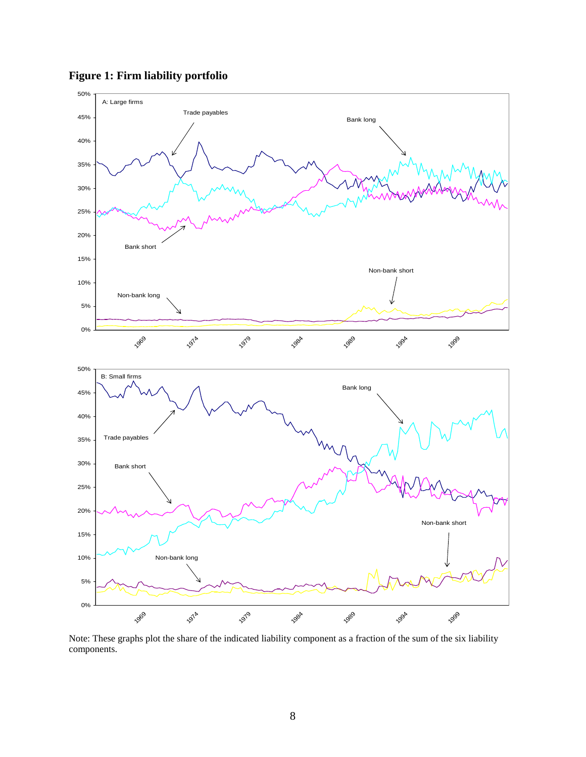

**Figure 1: Firm liability portfolio** 

Note: These graphs plot the share of the indicated liability component as a fraction of the sum of the six liability components.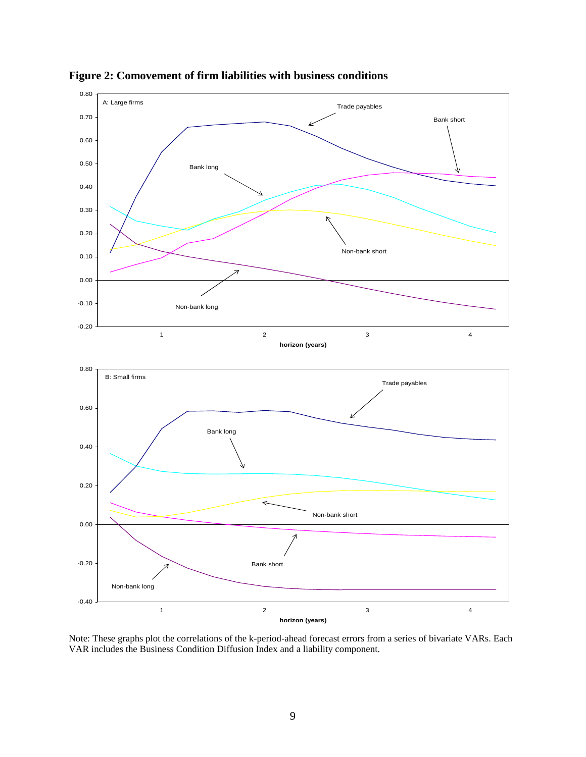

**Figure 2: Comovement of firm liabilities with business conditions** 

Note: These graphs plot the correlations of the k-period-ahead forecast errors from a series of bivariate VARs. Each VAR includes the Business Condition Diffusion Index and a liability component.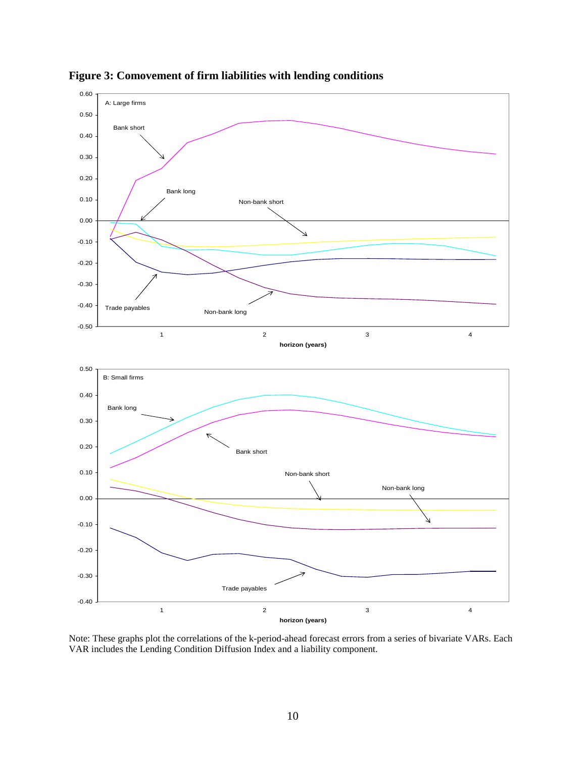

**Figure 3: Comovement of firm liabilities with lending conditions** 

Note: These graphs plot the correlations of the k-period-ahead forecast errors from a series of bivariate VARs. Each VAR includes the Lending Condition Diffusion Index and a liability component.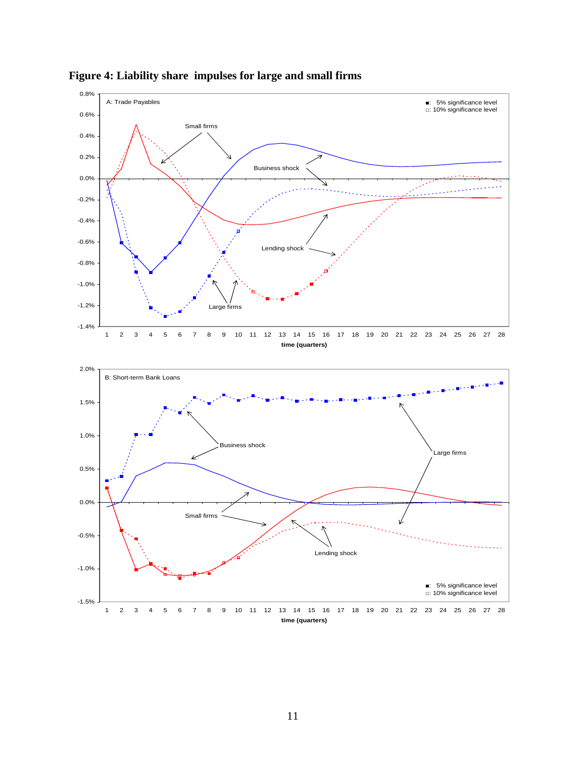

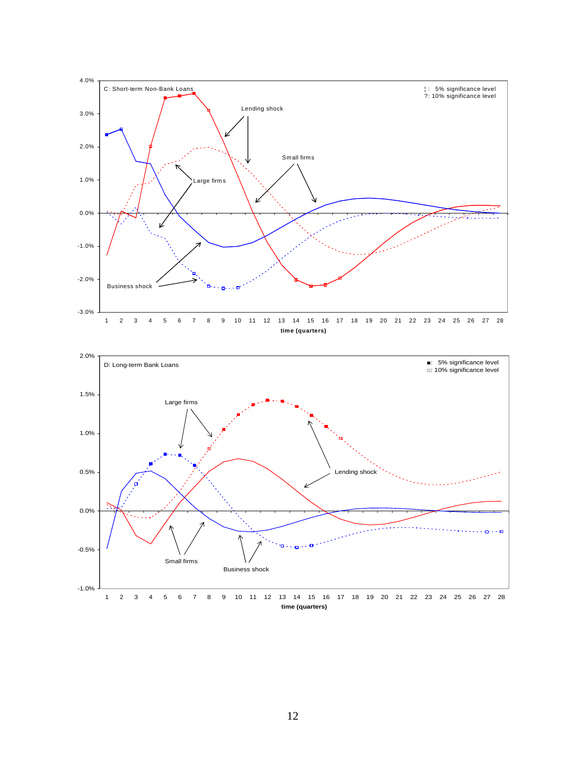

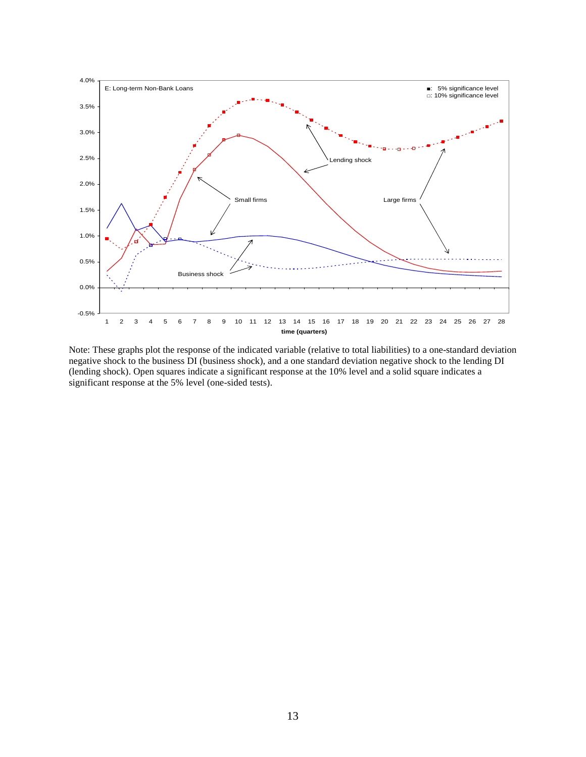

Note: These graphs plot the response of the indicated variable (relative to total liabilities) to a one-standard deviation negative shock to the business DI (business shock), and a one standard deviation negative shock to the lending DI (lending shock). Open squares indicate a significant response at the 10% level and a solid square indicates a significant response at the 5% level (one-sided tests).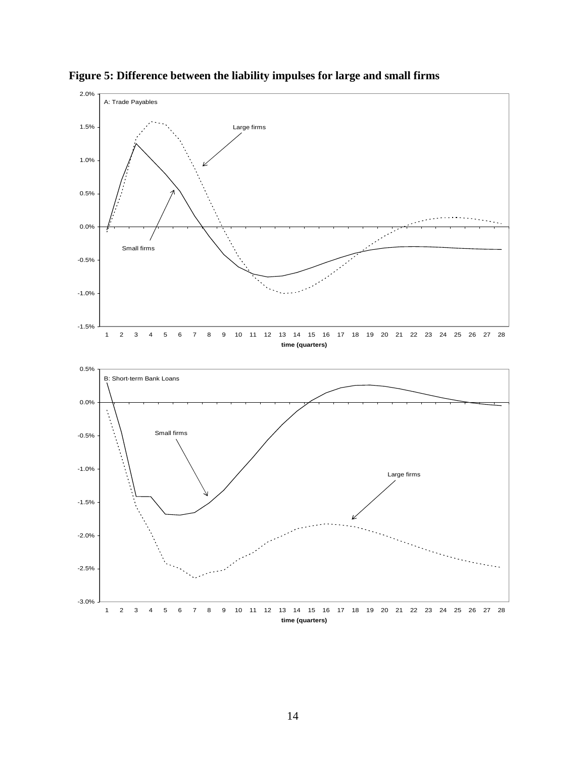

**Figure 5: Difference between the liability impulses for large and small firms**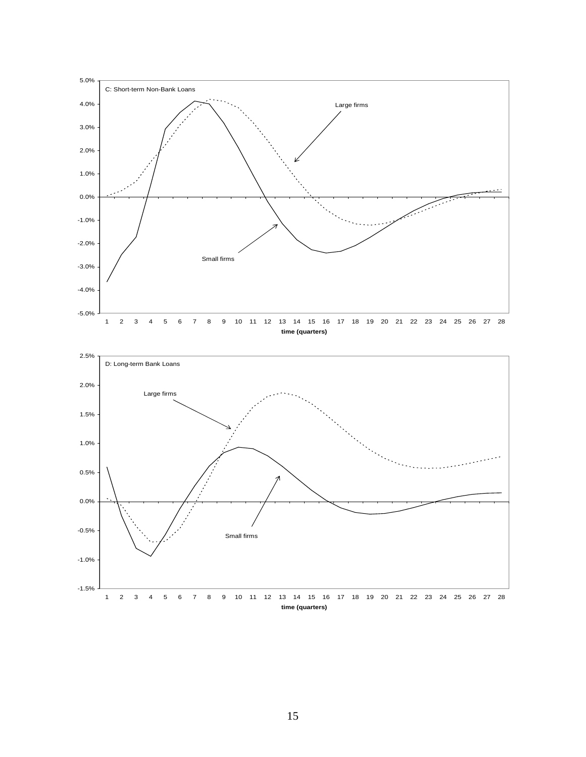